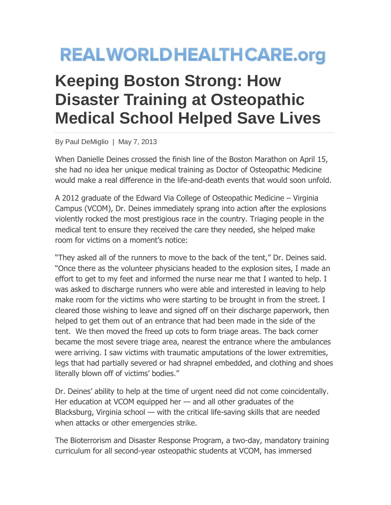## **REALWORLDHEALTHCARE.org**

## **Keeping Boston Strong: How Disaster Training at Osteopathic Medical School Helped Save Lives**

By Paul DeMiglio | May 7, 2013

When Danielle Deines crossed the finish line of the Boston Marathon on April 15, she had no idea her unique medical training as Doctor of Osteopathic Medicine would make a real difference in the life-and-death events that would soon unfold.

A 2012 graduate of the Edward Via College of Osteopathic Medicine – Virginia Campus (VCOM), Dr. Deines immediately sprang into action after the explosions violently rocked the most prestigious race in the country. Triaging people in the medical tent to ensure they received the care they needed, she helped make room for victims on a moment's notice:

"They asked all of the runners to move to the back of the tent," Dr. Deines said. "Once there as the volunteer physicians headed to the explosion sites, I made an effort to get to my feet and informed the nurse near me that I wanted to help. I was asked to discharge runners who were able and interested in leaving to help make room for the victims who were starting to be brought in from the street. I cleared those wishing to leave and signed off on their discharge paperwork, then helped to get them out of an entrance that had been made in the side of the tent. We then moved the freed up cots to form triage areas. The back corner became the most severe triage area, nearest the entrance where the ambulances were arriving. I saw victims with traumatic amputations of the lower extremities, legs that had partially severed or had shrapnel embedded, and clothing and shoes literally blown off of victims' bodies."

Dr. Deines' ability to help at the time of urgent need did not come coincidentally. Her education at VCOM equipped her — and all other graduates of the Blacksburg, Virginia school — with the critical life-saving skills that are needed when attacks or other emergencies strike.

The Bioterrorism and Disaster Response Program, a two-day, mandatory training curriculum for all second-year osteopathic students at VCOM, has immersed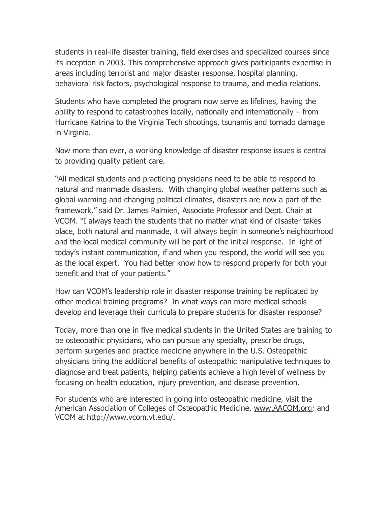students in real-life disaster training, field exercises and specialized courses since its inception in 2003. This comprehensive approach gives participants expertise in areas including terrorist and major disaster response, hospital planning, behavioral risk factors, psychological response to trauma, and media relations.

Students who have completed the program now serve as lifelines, having the ability to respond to catastrophes locally, nationally and internationally – from Hurricane Katrina to the Virginia Tech shootings, tsunamis and tornado damage in Virginia.

Now more than ever, a working knowledge of disaster response issues is central to providing quality patient care.

"All medical students and practicing physicians need to be able to respond to natural and manmade disasters. With changing global weather patterns such as global warming and changing political climates, disasters are now a part of the framework," said Dr. James Palmieri, Associate Professor and Dept. Chair at VCOM. "I always teach the students that no matter what kind of disaster takes place, both natural and manmade, it will always begin in someone's neighborhood and the local medical community will be part of the initial response. In light of today's instant communication, if and when you respond, the world will see you as the local expert. You had better know how to respond properly for both your benefit and that of your patients."

How can VCOM's leadership role in disaster response training be replicated by other medical training programs? In what ways can more medical schools develop and leverage their curricula to prepare students for disaster response?

Today, more than one in five medical students in the United States are training to be osteopathic physicians, who can pursue any specialty, prescribe drugs, perform surgeries and practice medicine anywhere in the U.S. Osteopathic physicians bring the additional benefits of osteopathic manipulative techniques to diagnose and treat patients, helping patients achieve a high level of wellness by focusing on health education, injury prevention, and disease prevention.

For students who are interested in going into osteopathic medicine, visit the American Association of Colleges of Osteopathic Medicine, [www.AACOM.org;](http://www.aacom.org/) and VCOM at [http://www.vcom.vt.edu/.](http://www.vcom.vt.edu/)